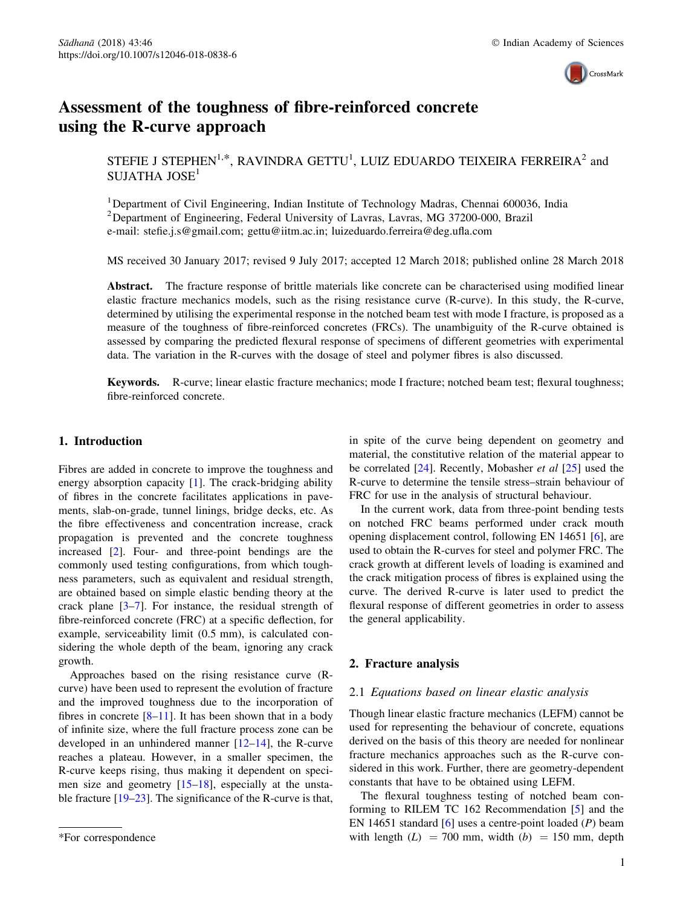

# Assessment of the toughness of fibre-reinforced concrete using the R-curve approach

STEFIE J STEPHEN<sup>1,\*</sup>, RAVINDRA GETTU<sup>1</sup>, LUIZ EDUARDO TEIXEIRA FERREIRA<sup>2</sup> and SUJATHA JOSE<sup>1</sup>

<sup>1</sup>Department of Civil Engineering, Indian Institute of Technology Madras, Chennai 600036, India <sup>2</sup>Department of Engineering, Federal University of Lavras, Lavras, MG 37200-000, Brazil e-mail: stefie.j.s@gmail.com; gettu@iitm.ac.in; luizeduardo.ferreira@deg.ufla.com

MS received 30 January 2017; revised 9 July 2017; accepted 12 March 2018; published online 28 March 2018

Abstract. The fracture response of brittle materials like concrete can be characterised using modified linear elastic fracture mechanics models, such as the rising resistance curve (R-curve). In this study, the R-curve, determined by utilising the experimental response in the notched beam test with mode I fracture, is proposed as a measure of the toughness of fibre-reinforced concretes (FRCs). The unambiguity of the R-curve obtained is assessed by comparing the predicted flexural response of specimens of different geometries with experimental data. The variation in the R-curves with the dosage of steel and polymer fibres is also discussed.

Keywords. R-curve; linear elastic fracture mechanics; mode I fracture; notched beam test; flexural toughness; fibre-reinforced concrete.

## 1. Introduction

Fibres are added in concrete to improve the toughness and energy absorption capacity [\[1](#page-5-0)]. The crack-bridging ability of fibres in the concrete facilitates applications in pavements, slab-on-grade, tunnel linings, bridge decks, etc. As the fibre effectiveness and concentration increase, crack propagation is prevented and the concrete toughness increased [[2\]](#page-5-0). Four- and three-point bendings are the commonly used testing configurations, from which toughness parameters, such as equivalent and residual strength, are obtained based on simple elastic bending theory at the crack plane  $[3-7]$ . For instance, the residual strength of fibre-reinforced concrete (FRC) at a specific deflection, for example, serviceability limit (0.5 mm), is calculated considering the whole depth of the beam, ignoring any crack growth.

Approaches based on the rising resistance curve (Rcurve) have been used to represent the evolution of fracture and the improved toughness due to the incorporation of fibres in concrete  $[8-11]$ . It has been shown that in a body of infinite size, where the full fracture process zone can be developed in an unhindered manner [\[12–14](#page-5-0)], the R-curve reaches a plateau. However, in a smaller specimen, the R-curve keeps rising, thus making it dependent on specimen size and geometry  $[15-18]$ , especially at the unsta-ble fracture [[19–23\]](#page-5-0). The significance of the R-curve is that, in spite of the curve being dependent on geometry and material, the constitutive relation of the material appear to be correlated [\[24](#page-5-0)]. Recently, Mobasher *et al* [[25\]](#page-5-0) used the R-curve to determine the tensile stress–strain behaviour of FRC for use in the analysis of structural behaviour.

In the current work, data from three-point bending tests on notched FRC beams performed under crack mouth opening displacement control, following EN 14651 [\[6](#page-5-0)], are used to obtain the R-curves for steel and polymer FRC. The crack growth at different levels of loading is examined and the crack mitigation process of fibres is explained using the curve. The derived R-curve is later used to predict the flexural response of different geometries in order to assess the general applicability.

# 2. Fracture analysis

## 2.1 *Equations based on linear elastic analysis*

Though linear elastic fracture mechanics (LEFM) cannot be used for representing the behaviour of concrete, equations derived on the basis of this theory are needed for nonlinear fracture mechanics approaches such as the R-curve considered in this work. Further, there are geometry-dependent constants that have to be obtained using LEFM.

The flexural toughness testing of notched beam conforming to RILEM TC 162 Recommendation [\[5](#page-5-0)] and the EN 14651 standard [\[6](#page-5-0)] uses a centre-point loaded (*P*) beam \*For correspondence with length  $(L) = 700$  mm, width  $(b) = 150$  mm, depth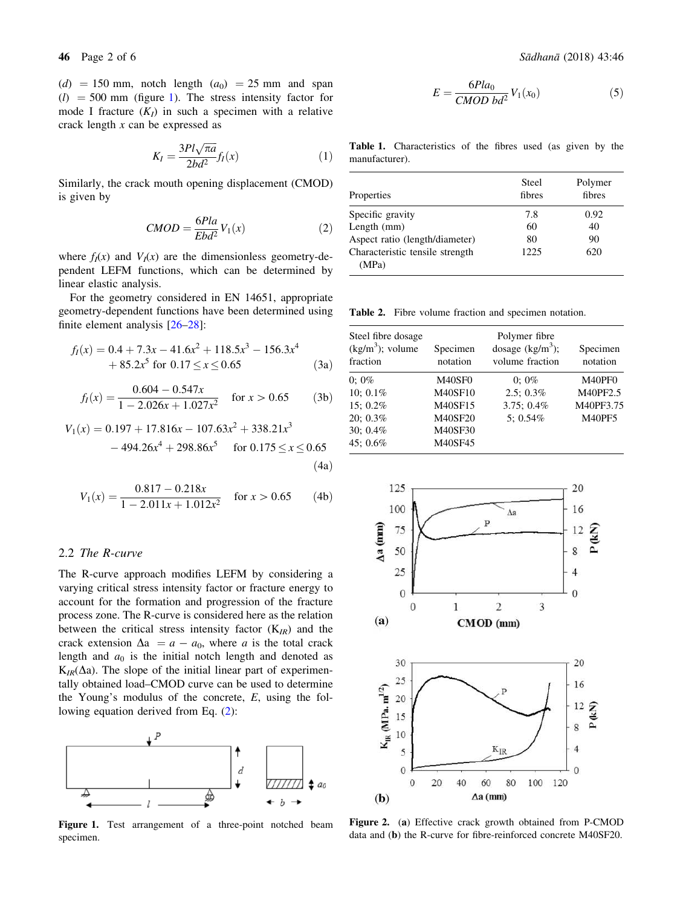<span id="page-1-0"></span> $(d) = 150$  mm, notch length  $(a_0) = 25$  mm and span  $(l)$  = 500 mm (figure 1). The stress intensity factor for mode I fracture  $(K_I)$  in such a specimen with a relative crack length *x* can be expressed as

$$
K_I = \frac{3Pl\sqrt{\pi a}}{2bd^2} f_I(x)
$$
 (1)

Similarly, the crack mouth opening displacement (CMOD) is given by

$$
CMOD = \frac{6Pla}{Ebd^2} V_1(x)
$$
 (2)

where  $f_I(x)$  and  $V_I(x)$  are the dimensionless geometry-dependent LEFM functions, which can be determined by linear elastic analysis.

For the geometry considered in EN 14651, appropriate geometry-dependent functions have been determined using finite element analysis [[26–28\]](#page-5-0):

$$
f_I(x) = 0.4 + 7.3x - 41.6x^2 + 118.5x^3 - 156.3x^4
$$
  
+ 85.2x<sup>5</sup> for 0.17 \le x \le 0.65 (3a)

$$
f_I(x) = \frac{0.604 - 0.547x}{1 - 2.026x + 1.027x^2} \quad \text{for } x > 0.65 \tag{3b}
$$

$$
V_1(x) = 0.197 + 17.816x - 107.63x^2 + 338.21x^3
$$
  
- 494.26x<sup>4</sup> + 298.86x<sup>5</sup> for 0.175  $\le x \le 0.65$   
(4a)

$$
V_1(x) = \frac{0.817 - 0.218x}{1 - 2.011x + 1.012x^2}
$$
 for  $x > 0.65$  (4b)

#### 2.2 *The R-curve*

The R-curve approach modifies LEFM by considering a varying critical stress intensity factor or fracture energy to account for the formation and progression of the fracture process zone. The R-curve is considered here as the relation between the critical stress intensity factor (K*IR*) and the crack extension  $\Delta a = a - a_0$ , where *a* is the total crack length and  $a_0$  is the initial notch length and denoted as  $K_{IR}(\Delta a)$ . The slope of the initial linear part of experimentally obtained load–CMOD curve can be used to determine the Young's modulus of the concrete, *E*, using the following equation derived from Eq. (2):



Figure 1. Test arrangement of a three-point notched beam specimen.

$$
E = \frac{6Pla_0}{CMOD\ bd^2} V_1(x_0)
$$
 (5)

Table 1. Characteristics of the fibres used (as given by the manufacturer).

| Properties                      | Steel<br>fibres | Polymer<br>fibres |
|---------------------------------|-----------------|-------------------|
| Specific gravity                | 7.8             | 0.92              |
| Length (mm)                     | 60              | 40                |
| Aspect ratio (length/diameter)  | 80              | 90                |
| Characteristic tensile strength | 1225            | 620               |
| (MPa)                           |                 |                   |

Table 2. Fibre volume fraction and specimen notation.

| Steel fibre dosage<br>$(kg/m3)$ ; volume<br>fraction | Specimen<br>notation | Polymer fibre<br>dosage $(kg/m^3)$ ;<br>volume fraction | Specimen<br>notation |
|------------------------------------------------------|----------------------|---------------------------------------------------------|----------------------|
| $0:0\%$                                              | M40SF0               | $0:0\%$                                                 | M40PF0               |
| 10: $0.1\%$                                          | <b>M40SF10</b>       | $2.5:0.3\%$                                             | M40PF2.5             |
| 15:0.2%                                              | M40SF15              | $3.75:0.4\%$                                            | M40PF3.75            |
| 20: 0.3%                                             | <b>M40SF20</b>       | $5:0.54\%$                                              | <b>M40PF5</b>        |
| 30; 0.4%                                             | M40SF30              |                                                         |                      |
| 45: 0.6%                                             | M40SF45              |                                                         |                      |



Figure 2. (a) Effective crack growth obtained from P-CMOD data and (b) the R-curve for fibre-reinforced concrete M40SF20.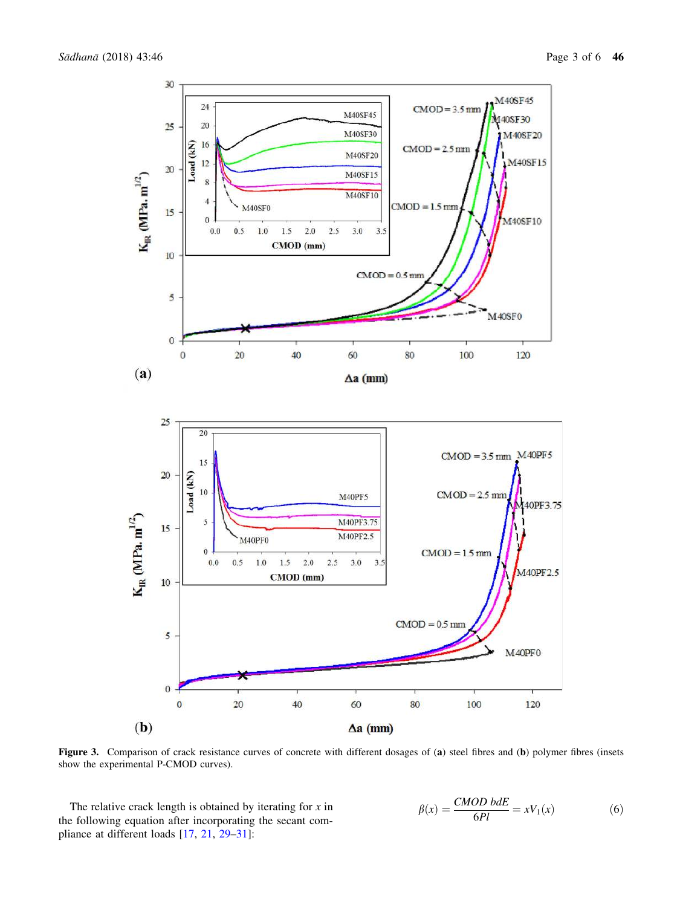<span id="page-2-0"></span>

Figure 3. Comparison of crack resistance curves of concrete with different dosages of (a) steel fibres and (b) polymer fibres (insets show the experimental P-CMOD curves).

The relative crack length is obtained by iterating for *x* in the following equation after incorporating the secant compliance at different loads [[17,](#page-5-0) [21](#page-5-0), [29–31](#page-5-0)]:

$$
\beta(x) = \frac{CMOD \text{ b}dE}{6Pl} = xV_1(x) \tag{6}
$$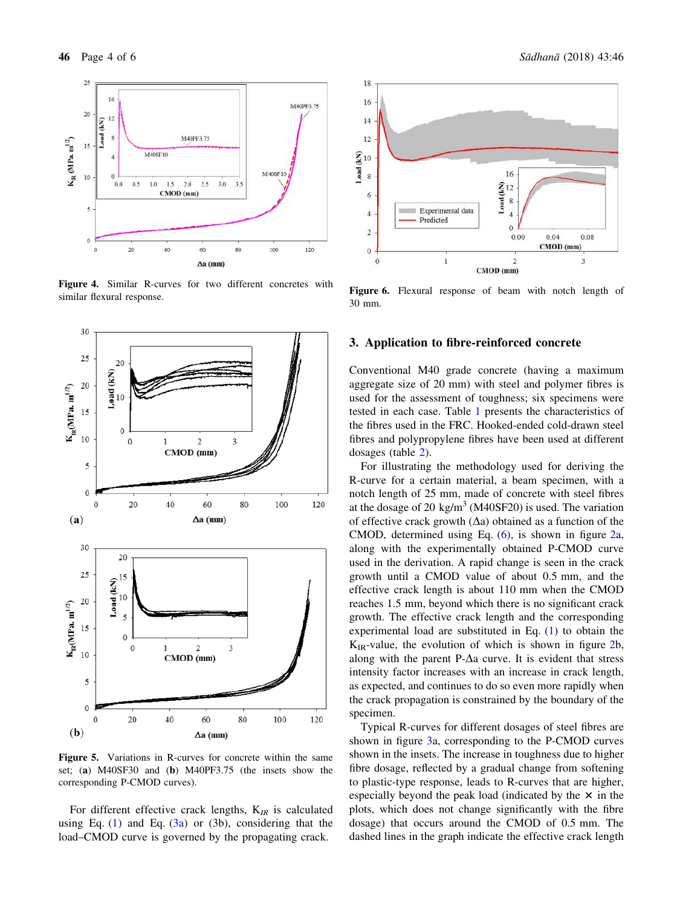<span id="page-3-0"></span>

Figure 4. Similar R-curves for two different concretes with similar flexural response.



Figure 5. Variations in R-curves for concrete within the same set; (a) M40SF30 and (b) M40PF3.75 (the insets show the corresponding P-CMOD curves).

For different effective crack lengths, K*IR* is calculated using Eq.  $(1)$  $(1)$  and Eq.  $(3a)$  $(3a)$  or  $(3b)$ , considering that the load–CMOD curve is governed by the propagating crack.



Figure 6. Flexural response of beam with notch length of 30 mm.

## 3. Application to fibre-reinforced concrete

Conventional M40 grade concrete (having a maximum aggregate size of 20 mm) with steel and polymer fibres is used for the assessment of toughness; six specimens were tested in each case. Table [1](#page-1-0) presents the characteristics of the fibres used in the FRC. Hooked-ended cold-drawn steel fibres and polypropylene fibres have been used at different dosages (table [2\)](#page-1-0).

For illustrating the methodology used for deriving the R-curve for a certain material, a beam specimen, with a notch length of 25 mm, made of concrete with steel fibres at the dosage of 20 kg/m<sup>3</sup> (M40SF20) is used. The variation of effective crack growth  $(\Delta a)$  obtained as a function of the CMOD, determined using Eq. [\(6](#page-2-0)), is shown in figure [2](#page-1-0)a, along with the experimentally obtained P-CMOD curve used in the derivation. A rapid change is seen in the crack growth until a CMOD value of about 0.5 mm, and the effective crack length is about 110 mm when the CMOD reaches 1.5 mm, beyond which there is no significant crack growth. The effective crack length and the corresponding experimental load are substituted in Eq. ([1\)](#page-1-0) to obtain the  $K_{IR}$ -value, the evolution of which is shown in figure [2b](#page-1-0), along with the parent P- $\Delta a$  curve. It is evident that stress intensity factor increases with an increase in crack length, as expected, and continues to do so even more rapidly when the crack propagation is constrained by the boundary of the specimen.

Typical R-curves for different dosages of steel fibres are shown in figure [3](#page-2-0)a, corresponding to the P-CMOD curves shown in the insets. The increase in toughness due to higher fibre dosage, reflected by a gradual change from softening to plastic-type response, leads to R-curves that are higher, especially beyond the peak load (indicated by the  $\times$  in the plots, which does not change significantly with the fibre dosage) that occurs around the CMOD of 0.5 mm. The dashed lines in the graph indicate the effective crack length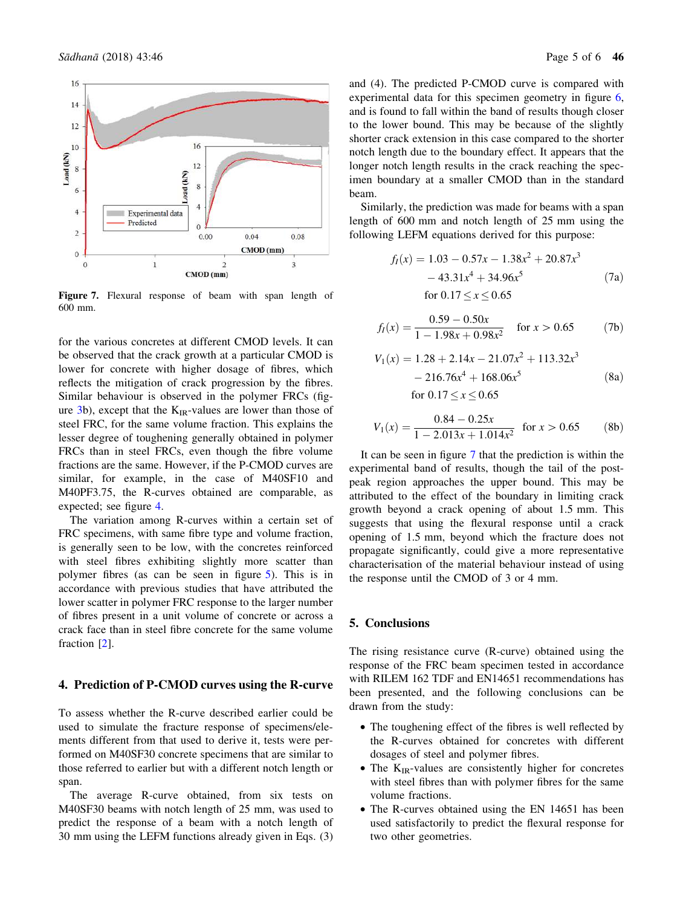

Figure 7. Flexural response of beam with span length of 600 mm.

for the various concretes at different CMOD levels. It can be observed that the crack growth at a particular CMOD is lower for concrete with higher dosage of fibres, which reflects the mitigation of crack progression by the fibres. Similar behaviour is observed in the polymer FRCs (fig-ure [3](#page-2-0)b), except that the  $K_{IR}$ -values are lower than those of steel FRC, for the same volume fraction. This explains the lesser degree of toughening generally obtained in polymer FRCs than in steel FRCs, even though the fibre volume fractions are the same. However, if the P-CMOD curves are similar, for example, in the case of M40SF10 and M40PF3.75, the R-curves obtained are comparable, as expected; see figure [4](#page-3-0).

The variation among R-curves within a certain set of FRC specimens, with same fibre type and volume fraction, is generally seen to be low, with the concretes reinforced with steel fibres exhibiting slightly more scatter than polymer fibres (as can be seen in figure [5](#page-3-0)). This is in accordance with previous studies that have attributed the lower scatter in polymer FRC response to the larger number of fibres present in a unit volume of concrete or across a crack face than in steel fibre concrete for the same volume fraction [[2\]](#page-5-0).

# 4. Prediction of P-CMOD curves using the R-curve

To assess whether the R-curve described earlier could be used to simulate the fracture response of specimens/elements different from that used to derive it, tests were performed on M40SF30 concrete specimens that are similar to those referred to earlier but with a different notch length or span.

The average R-curve obtained, from six tests on M40SF30 beams with notch length of 25 mm, was used to predict the response of a beam with a notch length of 30 mm using the LEFM functions already given in Eqs. (3) and (4). The predicted P-CMOD curve is compared with experimental data for this specimen geometry in figure [6,](#page-3-0) and is found to fall within the band of results though closer to the lower bound. This may be because of the slightly shorter crack extension in this case compared to the shorter notch length due to the boundary effect. It appears that the longer notch length results in the crack reaching the specimen boundary at a smaller CMOD than in the standard beam.

Similarly, the prediction was made for beams with a span length of 600 mm and notch length of 25 mm using the following LEFM equations derived for this purpose:

$$
f_I(x) = 1.03 - 0.57x - 1.38x^2 + 20.87x^3
$$
  
- 43.31x<sup>4</sup> + 34.96x<sup>5</sup> (7a)  
for  $0.17 \le x \le 0.65$ 

$$
f_I(x) = \frac{0.59 - 0.50x}{1 - 1.98x + 0.98x^2}
$$
 for  $x > 0.65$  (7b)

$$
V_1(x) = 1.28 + 2.14x - 21.07x^2 + 113.32x^3
$$
  
- 216.76x<sup>4</sup> + 168.06x<sup>5</sup> (8a)

for 
$$
0.17 \le x \le 0.65
$$

$$
V_1(x) = \frac{0.84 - 0.25x}{1 - 2.013x + 1.014x^2}
$$
 for  $x > 0.65$  (8b)

It can be seen in figure 7 that the prediction is within the experimental band of results, though the tail of the postpeak region approaches the upper bound. This may be attributed to the effect of the boundary in limiting crack growth beyond a crack opening of about 1.5 mm. This suggests that using the flexural response until a crack opening of 1.5 mm, beyond which the fracture does not propagate significantly, could give a more representative characterisation of the material behaviour instead of using the response until the CMOD of 3 or 4 mm.

# 5. Conclusions

The rising resistance curve (R-curve) obtained using the response of the FRC beam specimen tested in accordance with RILEM 162 TDF and EN14651 recommendations has been presented, and the following conclusions can be drawn from the study:

- The toughening effect of the fibres is well reflected by the R-curves obtained for concretes with different dosages of steel and polymer fibres.
- The K<sub>IR</sub>-values are consistently higher for concretes with steel fibres than with polymer fibres for the same volume fractions.
- The R-curves obtained using the EN 14651 has been used satisfactorily to predict the flexural response for two other geometries.